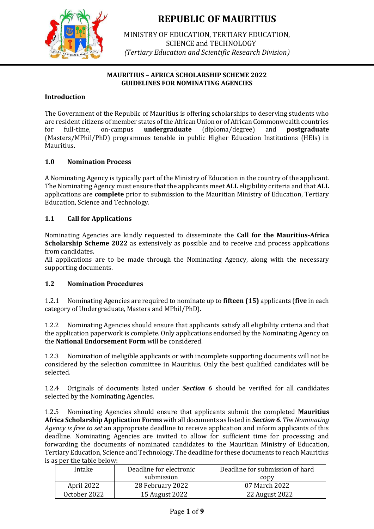

MINISTRY OF EDUCATION, TERTIARY EDUCATION, SCIENCE and TECHNOLOGY (*Tertiary Education and Scientific Research Division*)

## **MAURITIUS – AFRICA SCHOLARSHIP SCHEME 2022 GUIDELINES FOR NOMINATING AGENCIES**

## **Introduction**

The Government of the Republic of Mauritius is offering scholarships to deserving students who are resident citizens of member states of the African Union or of African Commonwealth countries for full-time, on-campus **undergraduate** (diploma/degree) and **postgraduate** (Masters/MPhil/PhD) programmes tenable in public Higher Education Institutions (HEIs) in Mauritius.

## **1.0 Nomination Process**

A Nominating Agency is typically part of the Ministry of Education in the country of the applicant. The Nominating Agency must ensure that the applicants meet **ALL** eligibility criteria and that **ALL** applications are **complete** prior to submission to the Mauritian Ministry of Education, Tertiary Education, Science and Technology.

## **1.1 Call for Applications**

Nominating Agencies are kindly requested to disseminate the **Call for the Mauritius-Africa Scholarship Scheme 2022** as extensively as possible and to receive and process applications from candidates.

All applications are to be made through the Nominating Agency, along with the necessary supporting documents.

### **1.2 Nomination Procedures**

1.2.1 Nominating Agencies are required to nominate up to **fifteen (15)** applicants (**five** in each category of Undergraduate, Masters and MPhil/PhD).

1.2.2 Nominating Agencies should ensure that applicants satisfy all eligibility criteria and that the application paperwork is complete. Only applications endorsed by the Nominating Agency on the **National Endorsement Form** will be considered.

1.2.3 Nomination of ineligible applicants or with incomplete supporting documents will not be considered by the selection committee in Mauritius. Only the best qualified candidates will be selected.

1.2.4 Originals of documents listed under *Section 6* should be verified for all candidates selected by the Nominating Agencies.

1.2.5 Nominating Agencies should ensure that applicants submit the completed **Mauritius Africa Scholarship Application Forms** with all documents as listed in *Section 6. The Nominating Agency is free to set* an appropriate deadline to receive application and inform applicants of this deadline. Nominating Agencies are invited to allow for sufficient time for processing and forwarding the documents of nominated candidates to the Mauritian Ministry of Education, Tertiary Education, Science and Technology. The deadline for these documents to reach Mauritius is as per the table below:

| Intake       | Deadline for electronic | Deadline for submission of hard |
|--------------|-------------------------|---------------------------------|
|              | submission              | copy                            |
| April 2022   | 28 February 2022        | 07 March 2022                   |
| October 2022 | 15 August 2022          | 22 August 2022                  |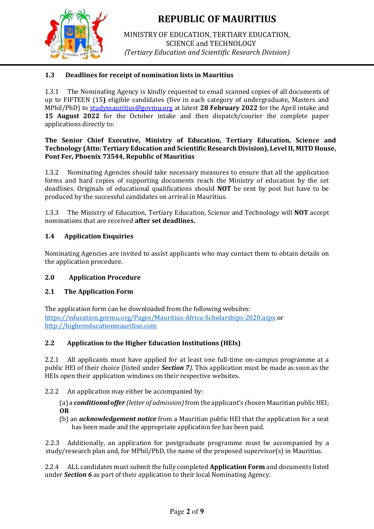

MINISTRY OF EDUCATION, TERTIARY EDUCATION, SCIENCE and TECHNOLOGY (*Tertiary Education and Scientific Research Division*)

# **1.3 Deadlines for receipt of nomination lists in Mauritius**

1.3.1 The Nominating Agency is kindly requested to email scanned copies of all documents of up to FIFTEEN (15**)** eligible candidates (five in each category of undergraduate, Masters and MPhil/PhD) to studymauritius@govmu.org at latest **28 February 2022** for the April intake and **15 August 2022** for the October intake and then dispatch/courier the complete paper applications directly to:

#### **The Senior Chief Executive, Ministry of Education, Tertiary Education, Science and Technology (Attn: Tertiary Education and Scientific Research Division), Level II, MITD House, Pont Fer, Phoenix 73544, Republic of Mauritius**

1.3.2 Nominating Agencies should take necessary measures to ensure that all the application forms and hard copies of supporting documents reach the Ministry of education by the set deadlines. Originals of educational qualifications should **NOT** be sent by post but have to be produced by the successful candidates on arrival in Mauritius.

1.3.3 The Ministry of Education, Tertiary Education, Science and Technology will **NOT** accept nominations that are received **after set deadlines.**

# **1.4 Application Enquiries**

Nominating Agencies are invited to assist applicants who may contact them to obtain details on the application procedure.

# **2.0 Application Procedure**

# **2.1 The Application Form**

The application form can be downloaded from the following websites: <https://education.govmu.org/Pages/Mauritius-Africa-Scholarships-2020.aspx> [o](http://ministry-education.govmu.org/)r [http://highereducationmauritius.com](http://highereducationmauritius.com/) 

# **2.2 Application to the Higher Education Institutions (HEIs)**

2.2.1 All applicants must have applied for at least one full-time on-campus programme at a public HEI of their choice (listed under *Section 7).* This application must be made as soon as the HEIs open their application windows on their respective websites.

### 2.2.2 An application may either be accompanied by:

(a) a *conditional offer (letter of admission)* from the applicant's chosen Mauritian public HEI; **OR**

(b) an *acknowledgement notice* from a Mauritian public HEI that the application for a seat has been made and the appropriate application fee has been paid.

2.2.3 Additionally, an application for postgraduate programme must be accompanied by a study/research plan and, for MPhil/PhD, the name of the proposed supervisor(s) in Mauritius.

2.2.4 ALL candidates must submit the fully completed **Application Form** and documents listed under *Section 6* as part of their application to their local Nominating Agency.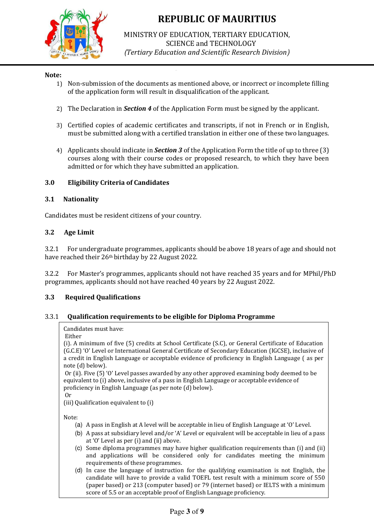

MINISTRY OF EDUCATION, TERTIARY EDUCATION, SCIENCE and TECHNOLOGY (*Tertiary Education and Scientific Research Division*)

### **Note:**

- 1) Non-submission of the documents as mentioned above, or incorrect or incomplete filling of the application form will result in disqualification of the applicant.
- 2) The Declaration in *Section 4* of the Application Form must be signed by the applicant.
- 3) Certified copies of academic certificates and transcripts, if not in French or in English, must be submitted along with a certified translation in either one of these two languages.
- 4) Applicants should indicate in *Section 3* of the Application Form the title of up to three (3) courses along with their course codes or proposed research, to which they have been admitted or for which they have submitted an application.

### **3.0 Eligibility Criteria of Candidates**

#### **3.1 Nationality**

Candidates must be resident citizens of your country.

#### **3.2 Age Limit**

3.2.1 For undergraduate programmes, applicants should be above 18 years of age and should not have reached their 26th birthday by 22 August 2022. 

3.2.2 For Master's programmes, applicants should not have reached 35 years and for MPhil/PhD programmes, applicants should not have reached 40 years by 22 August 2022.

#### **3.3 Required Qualifications**

#### 3.3.1 **Qualification requirements to be eligible for Diploma Programme**

#### Candidates must have:

#### Either

(i). A minimum of five (5) credits at School Certificate (S.C), or General Certificate of Education (G.C.E) 'O' Level or International General Certificate of Secondary Education (IGCSE), inclusive of a credit in English Language or acceptable evidence of proficiency in English Language ( as per note (d) below).

Or (ii). Five (5) 'O' Level passes awarded by any other approved examining body deemed to be equivalent to (i) above, inclusive of a pass in English Language or acceptable evidence of proficiency in English Language (as per note (d) below).

Or

(iii) Qualification equivalent to (i)

Note:

- (a) A pass in English at A level will be acceptable in lieu of English Language at 'O' Level.
- (b) A pass at subsidiary level and/or 'A' Level or equivalent will be acceptable in lieu of a pass at 'O' Level as per (i) and (ii) above.
- (c) Some diploma programmes may have higher qualification requirements than (i) and (ii) and applications will be considered only for candidates meeting the minimum requirements of these programmes.
- (d) In case the language of instruction for the qualifying examination is not English, the candidate will have to provide a valid TOEFL test result with a minimum score of 550 (paper based) or 213 (computer based) or 79 (internet based) or IELTS with a minimum score of 5.5 or an acceptable proof of English Language proficiency.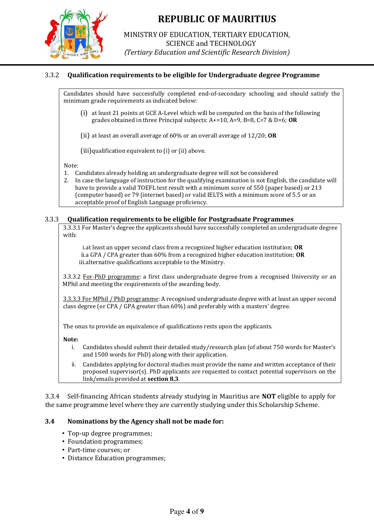

MINISTRY OF EDUCATION, TERTIARY EDUCATION, SCIENCE and TECHNOLOGY (*Tertiary Education and Scientific Research Division*)

## 3.3.2 **Qualification requirements to be eligible for Undergraduate degree Programme**

Candidates should have successfully completed end-of-secondary schooling and should satisfy the minimum grade requirements as indicated below:

(i) at least 21 points at GCE A-Level which will be computed on the basis of the following grades obtained in three Principal subjects: A+=10, A=9, B=8, C=7 & D=6; **OR**

(ii) at least an overall average of 60% or an overall average of 12/20; **OR**

(iii)qualification equivalent to (i) or (ii) above.

Note:

- 1. Candidates already holding an undergraduate degree will not be considered
- 2. In case the language of instruction for the qualifying examination is not English, the candidate will have to provide a valid TOEFL test result with a minimum score of 550 (paper based) or 213 (computer based) or 79 (internet based) or valid IELTS with a minimum score of 5.5 or an acceptable proof of English Language proficiency.

### 3.3.3 **Qualification requirements to be eligible for Postgraduate Programmes**

3.3.3.1 For Master's degree the applicants should have successfully completed an undergraduate degree with:

i.at least an upper second class from a recognized higher education institution; **OR** ii.a GPA / CPA greater than 60% from a recognized higher education institution; **OR** iii.alternative qualifications acceptable to the Ministry.

3.3.3.2 For PhD programme: a first class undergraduate degree from a recognised University or an MPhil and meeting the requirements of the awarding body.

3.3.3.3 For MPhil / PhD programme: A recognised undergraduate degree with at least an upper second class degree (or CPA / GPA greater than 60%) and preferably with a masters' degree.

The onus to provide an equivalence of qualifications rests upon the applicants.

**Note:** 

- i. Candidates should submit their detailed study/research plan (of about 750 words for Master's and 1500 words for PhD) along with their application.
- ii. Candidates applying for doctoral studies must provide the name and written acceptance of their proposed supervisor(s). PhD applicants are requested to contact potential supervisors on the link/emails provided at **section 8.3**.

3.3.4 Self-financing African students already studying in Mauritius are **NOT** eligible to apply for the same programme level where they are currently studying under this Scholarship Scheme.

### **3.4 Nominations by the Agency shall not be made for:**

- Top-up degree programmes;
- Foundation programmes;
- Part-time courses; or
- Distance Education programmes;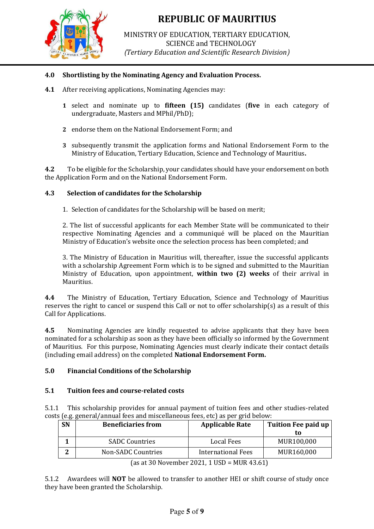

MINISTRY OF EDUCATION, TERTIARY EDUCATION, SCIENCE and TECHNOLOGY (*Tertiary Education and Scientific Research Division*)

## **4.0 Shortlisting by the Nominating Agency and Evaluation Process.**

- **4.1** After receiving applications, Nominating Agencies may:
	- **1** select and nominate up to **fifteen (15)** candidates (**five** in each category of undergraduate, Masters and MPhil/PhD);
	- **2** endorse them on the National Endorsement Form; and
	- **3** subsequently transmit the application forms and National Endorsement Form to the Ministry of Education, Tertiary Education, Science and Technology of Mauritius**.**

**4.2** To be eligible for the Scholarship, your candidates should have your endorsement on both the Application Form and on the National Endorsement Form.

### **4.3 Selection of candidates for the Scholarship**

1. Selection of candidates for the Scholarship will be based on merit;

2. The list of successful applicants for each Member State will be communicated to their respective Nominating Agencies and a communiqué will be placed on the Mauritian Ministry of Education's website once the selection process has been completed; and

3. The Ministry of Education in Mauritius will, thereafter, issue the successful applicants with a scholarship Agreement Form which is to be signed and submitted to the Mauritian Ministry of Education, upon appointment, **within two (2) weeks** of their arrival in Mauritius.

**4.4** The Ministry of Education, Tertiary Education, Science and Technology of Mauritius reserves the right to cancel or suspend this Call or not to offer scholarship(s) as a result of this Call for Applications.

**4.5** Nominating Agencies are kindly requested to advise applicants that they have been nominated for a scholarship as soon as they have been officially so informed by the Government of Mauritius. For this purpose, Nominating Agencies must clearly indicate their contact details (including email address) on the completed **National Endorsement Form.**

### **5.0 Financial Conditions of the Scholarship**

### **5.1 Tuition fees and course-related costs**

5.1.1 This scholarship provides for annual payment of tuition fees and other studies-related costs (e.g. general/annual fees and miscellaneous fees, etc) as per grid below:

| <b>SN</b>                                                                                   | <b>Beneficiaries from</b> | <b>Applicable Rate</b> | Tuition Fee paid up |  |
|---------------------------------------------------------------------------------------------|---------------------------|------------------------|---------------------|--|
|                                                                                             |                           |                        | tο                  |  |
|                                                                                             | <b>SADC Countries</b>     | Local Fees             | MUR100,000          |  |
| n                                                                                           | Non-SADC Countries        | International Fees     | MUR160,000          |  |
| $\ell_{\text{max}}$ and $\ell_{\text{max}}$ and $\ell_{\text{max}}$ and $\ell_{\text{max}}$ |                           |                        |                     |  |

(as at 30 November 2021, 1 USD = MUR 43.61)

5.1.2 Awardees will **NOT** be allowed to transfer to another HEI or shift course of study once they have been granted the Scholarship.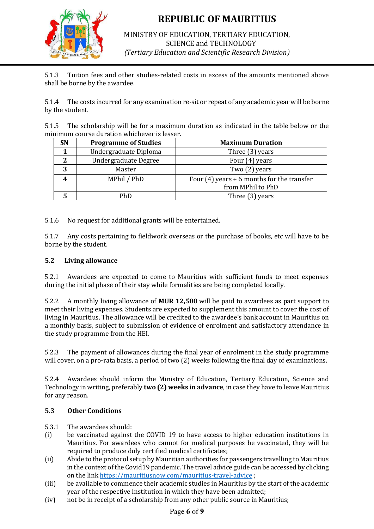

MINISTRY OF EDUCATION, TERTIARY EDUCATION, SCIENCE and TECHNOLOGY (*Tertiary Education and Scientific Research Division*)

5.1.3 Tuition fees and other studies-related costs in excess of the amounts mentioned above shall be borne by the awardee.

5.1.4 The costs incurred for any examination re-sit or repeat of any academic year will be borne by the student.

5.1.5 The scholarship will be for a maximum duration as indicated in the table below or the minimum course duration whichever is lesser.

| SN | <b>Programme of Studies</b> | <b>Maximum Duration</b>                                           |  |
|----|-----------------------------|-------------------------------------------------------------------|--|
|    | Undergraduate Diploma       | Three (3) years                                                   |  |
|    | Undergraduate Degree        | Four (4) years                                                    |  |
| 3  | Master                      | Two (2) years                                                     |  |
|    | MPhil / PhD                 | Four $(4)$ years + 6 months for the transfer<br>from MPhil to PhD |  |
|    | PhD                         | Three (3) years                                                   |  |

5.1.6 No request for additional grants will be entertained.

5.1.7 Any costs pertaining to fieldwork overseas or the purchase of books, etc will have to be borne by the student.

### **5.2 Living allowance**

5.2.1 Awardees are expected to come to Mauritius with sufficient funds to meet expenses during the initial phase of their stay while formalities are being completed locally.

5.2.2 A monthly living allowance of **MUR 12,500** will be paid to awardees as part support to meet their living expenses. Students are expected to supplement this amount to cover the cost of living in Mauritius. The allowance will be credited to the awardee's bank account in Mauritius on a monthly basis, subject to submission of evidence of enrolment and satisfactory attendance in the study programme from the HEI.

5.2.3 The payment of allowances during the final year of enrolment in the study programme will cover, on a pro-rata basis, a period of two (2) weeks following the final day of examinations.

5.2.4 Awardees should inform the Ministry of Education, Tertiary Education, Science and Technology in writing, preferably **two (2) weeks in advance**, in case they have to leave Mauritius for any reason.

# **5.3 Other Conditions**

5.3.1 The awardees should:

- (i) be vaccinated against the COVID 19 to have access to higher education institutions in Mauritius. For awardees who cannot for medical purposes be vaccinated, they will be required to produce duly certified medical certificates**;**
- (ii) Abide to the protocol setup by Mauritian authorities for passengers travelling to Mauritius in the context of the Covid19 pandemic. The travel advice guide can be accessed by clicking on the link<https://mauritiusnow.com/mauritius-travel-advice>;
- (iii) be available to commence their academic studies in Mauritius by the start of the academic year of the respective institution in which they have been admitted;
- (iv) not be in receipt of a scholarship from any other public source in Mauritius;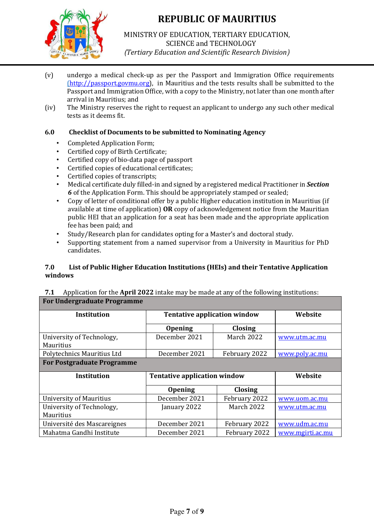

MINISTRY OF EDUCATION, TERTIARY EDUCATION, SCIENCE and TECHNOLOGY (*Tertiary Education and Scientific Research Division*)

- (v) undergo a medical check-up as per the Passport and Immigration Office requirements [\(](file:///C:/Users/Tertiary/Desktop/Tertiary/MASS%20DEC%202021/Mass%20Doc/()[http://passport.govmu.org\),](http://passport.govmu.org/) in Mauritius and the tests results shall be submitted to the Passport and Immigration Office, with a copy to the Ministry, not later than one month after arrival in Mauritius; and
- (iv) The Ministry reserves the right to request an applicant to undergo any such other medical tests as it deems fit.

## **6.0 Checklist of Documents to be submitted to Nominating Agency**

- Completed Application Form;
- Certified copy of Birth Certificate;
- Certified copy of bio-data page of passport
- Certified copies of educational certificates;
- Certified copies of transcripts;
- Medical certificate duly filled-in and signed by a registered medical Practitioner in *Section 6* of the Application Form. This should be appropriately stamped or sealed;
- Copy of letter of conditional offer by a public Higher education institution in Mauritius (if available at time of application) **OR** copy of acknowledgement notice from the Mauritian public HEI that an application for a seat has been made and the appropriate application fee has been paid; and
- Study/Research plan for candidates opting for a Master's and doctoral study.
- Supporting statement from a named supervisor from a University in Mauritius for PhD candidates.

## **7.0 List of Public Higher Education Institutions (HEIs) and their Tentative Application windows**

### **7.1** Application for the **April 2022** intake may be made at any of the following institutions: **For Undergraduate Programme**

| <b>Institution</b>                | <b>Tentative application window</b> |                | Website        |
|-----------------------------------|-------------------------------------|----------------|----------------|
|                                   | <b>Opening</b>                      | <b>Closing</b> |                |
| University of Technology,         | December 2021                       | March 2022     | www.utm.ac.mu  |
| <b>Mauritius</b>                  |                                     |                |                |
| Polytechnics Mauritius Ltd        | December 2021                       | February 2022  | www.poly.ac.mu |
| <b>For Postgraduate Programme</b> |                                     |                |                |
|                                   |                                     |                |                |
| Institution                       | <b>Tentative application window</b> |                | Website        |
|                                   | <b>Opening</b>                      | <b>Closing</b> |                |
| University of Mauritius           | December 2021                       | February 2022  | www.uom.ac.mu  |
| University of Technology,         | January 2022                        | March 2022     | www.utm.ac.mu  |
| <b>Mauritius</b>                  |                                     |                |                |
| Université des Mascareignes       | December 2021                       | February 2022  | www.udm.ac.mu  |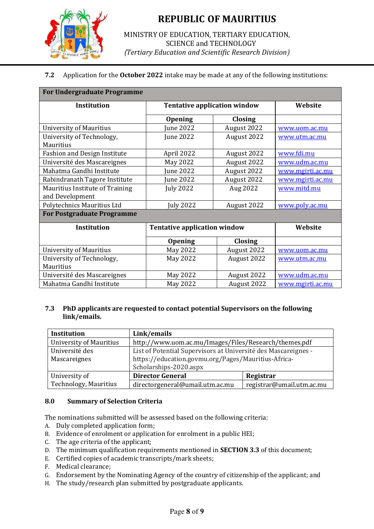

## MINISTRY OF EDUCATION, TERTIARY EDUCATION, SCIENCE and TECHNOLOGY (*Tertiary Education and Scientific Research Division*)

# **7.2** Application for the **October 2022** intake may be made at any of the following institutions:

### **For Undergraduate Programme**

| Institution                         | <b>Tentative application window</b> |                | Website          |
|-------------------------------------|-------------------------------------|----------------|------------------|
|                                     | <b>Opening</b>                      | <b>Closing</b> |                  |
| <b>University of Mauritius</b>      | June 2022                           | August 2022    | www.uom.ac.mu    |
| University of Technology,           | June 2022                           | August 2022    | www.utm.ac.mu    |
| Mauritius                           |                                     |                |                  |
| <b>Fashion and Design Institute</b> | April 2022                          | August 2022    | www.fdi.mu       |
| Université des Mascareignes         | May 2022                            | August 2022    | www.udm.ac.mu    |
| Mahatma Gandhi Institute            | June 2022                           | August 2022    | www.mgirti.ac.mu |
| Rabindranath Tagore Institute       | June 2022                           | August 2022    | www.mgirti.ac.mu |
| Mauritius Institute of Training     | <b>July 2022</b>                    | Aug 2022       | www.mitd.mu      |
| and Development                     |                                     |                |                  |
| Polytechnics Mauritius Ltd          | July 2022                           | August 2022    | www.poly.ac.mu   |
| <b>For Postgraduate Programme</b>   |                                     |                |                  |
| <b>Institution</b>                  | <b>Tentative application window</b> |                | Website          |
|                                     | <b>Opening</b>                      | <b>Closing</b> |                  |
| <b>University of Mauritius</b>      | May 2022                            | August 2022    | www.uom.ac.mu    |
| University of Technology,           | May 2022                            | August 2022    | www.utm.ac.mu    |
| Mauritius                           |                                     |                |                  |
| Université des Mascareignes         | May 2022                            | August 2022    | www.udm.ac.mu    |
| Mahatma Gandhi Institute            | May 2022                            | August 2022    | www.mgirti.ac.mu |

### **7.3 PhD applicants are requested to contact potential Supervisors on the following link/emails.**

| <b>Institution</b>             | Link/emails                                                    |                           |
|--------------------------------|----------------------------------------------------------------|---------------------------|
| <b>University of Mauritius</b> | http://www.uom.ac.mu/Images/Files/Research/themes.pdf          |                           |
| Université des                 | List of Potential Supervisors at Université des Mascareignes - |                           |
| Mascareignes                   | https://education.govmu.org/Pages/Mauritius-Africa-            |                           |
|                                | Scholarships-2020.aspx                                         |                           |
| University of                  | <b>Director General</b>                                        | Registrar                 |
| Technology, Mauritius          | directorgeneral@umail.utm.ac.mu                                | registrar@umail.utm.ac.mu |

### **8.0 Summary of Selection Criteria**

The nominations submitted will be assessed based on the following criteria:

- A. Duly completed application form;
- B. Evidence of enrolment or application for enrolment in a public HEI;
- C. The age criteria of the applicant;
- D. The minimum qualification requirements mentioned in **SECTION 3.3** of this document;
- E. Certified copies of academic transcripts/mark sheets;
- F. Medical clearance;
- G. Endorsement by the Nominating Agency of the country of citizenship of the applicant; and
- H. The study/research plan submitted by postgraduate applicants.